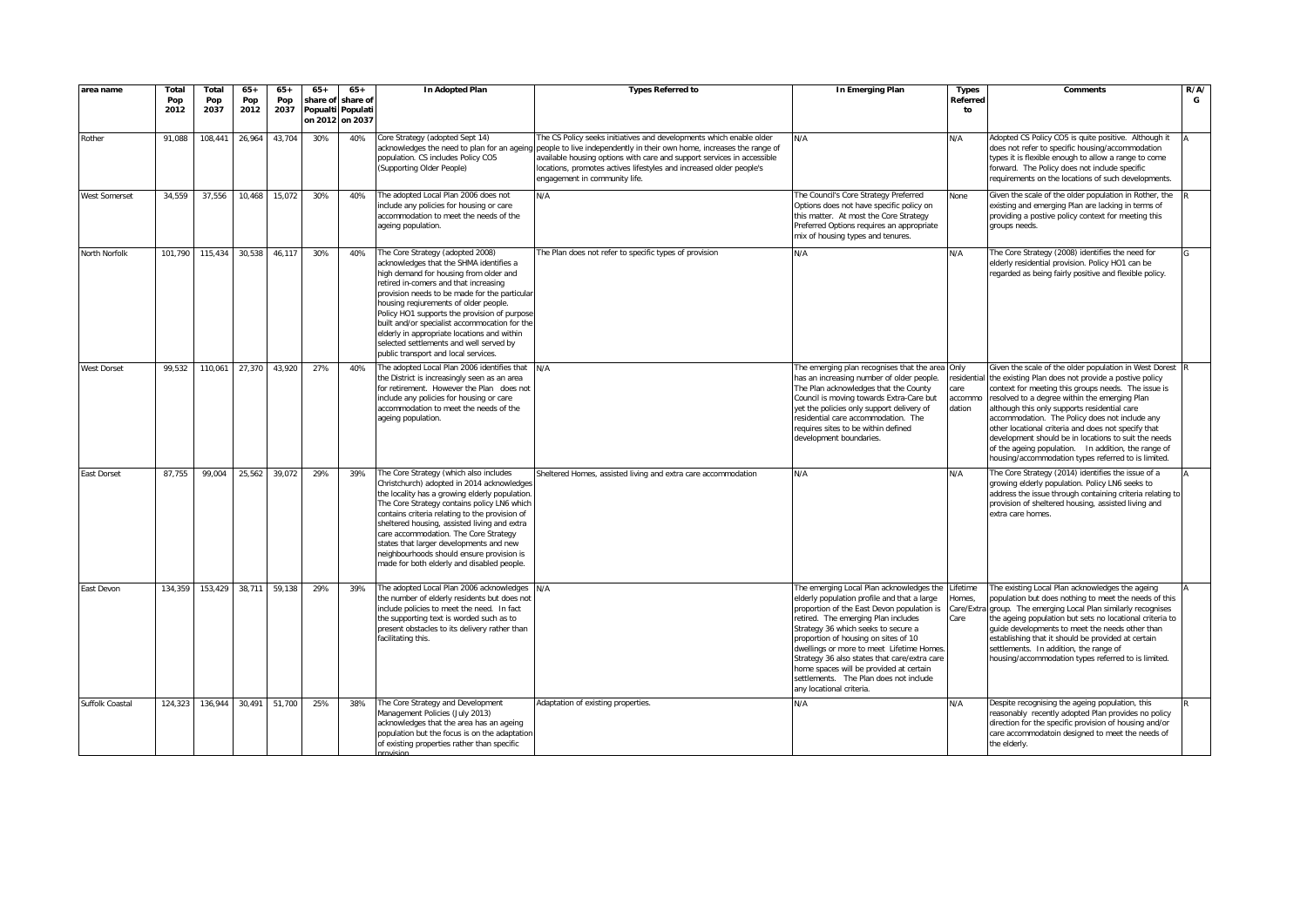| area name          | Total<br>Pop<br>2012 | Total<br>Pop<br>2037 | $65+$<br>Pop<br>2012 | $65+$<br>Pop<br>2037 | $65+$<br>share of<br>Popualti | $65+$<br>share of<br>Populati<br>on 2012 on 2037 | In Adopted Plan                                                                                                                                                                                                                                                                                                                                                                                                                                                                             | <b>Types Referred to</b>                                                                                                                                                                                                                                                                                                       | In Emerging Plan                                                                                                                                                                                                                                                                                                                                                                                                                                                         | <b>Types</b><br>Referred<br>to                  | <b>Comments</b>                                                                                                                                                                                                                                                                                                                                                                                                                                                                                                                                       | R/A/<br>G |
|--------------------|----------------------|----------------------|----------------------|----------------------|-------------------------------|--------------------------------------------------|---------------------------------------------------------------------------------------------------------------------------------------------------------------------------------------------------------------------------------------------------------------------------------------------------------------------------------------------------------------------------------------------------------------------------------------------------------------------------------------------|--------------------------------------------------------------------------------------------------------------------------------------------------------------------------------------------------------------------------------------------------------------------------------------------------------------------------------|--------------------------------------------------------------------------------------------------------------------------------------------------------------------------------------------------------------------------------------------------------------------------------------------------------------------------------------------------------------------------------------------------------------------------------------------------------------------------|-------------------------------------------------|-------------------------------------------------------------------------------------------------------------------------------------------------------------------------------------------------------------------------------------------------------------------------------------------------------------------------------------------------------------------------------------------------------------------------------------------------------------------------------------------------------------------------------------------------------|-----------|
| Rother             | 91,088               | 108,441              | 26,964               | 43.704               | 30%                           | 40%                                              | Core Strategy (adopted Sept 14)<br>acknowledges the need to plan for an ageing<br>population. CS includes Policy CO5<br>(Supporting Older People)                                                                                                                                                                                                                                                                                                                                           | The CS Policy seeks initiatives and developments which enable older<br>people to live independently in their own home, increases the range of<br>available housing options with care and support services in accessible<br>ocations, promotes actives lifestyles and increased older people's<br>engagement in community life. | N/A                                                                                                                                                                                                                                                                                                                                                                                                                                                                      | N/A                                             | Adopted CS Policy CO5 is quite positive. Although it<br>does not refer to specific housing/accommodation<br>types it is flexible enough to allow a range to come<br>forward. The Policy does not include specific<br>requirements on the locations of such developments.                                                                                                                                                                                                                                                                              |           |
| West Somerset      | 34,559               | 37,556               | 10,468               | 15,072               | 30%                           | 40%                                              | The adopted Local Plan 2006 does not<br>include any policies for housing or care<br>accommodation to meet the needs of the<br>ageing population.                                                                                                                                                                                                                                                                                                                                            | N/A                                                                                                                                                                                                                                                                                                                            | The Council's Core Strategy Preferred<br>Options does not have specific policy on<br>this matter. At most the Core Strategy<br>Preferred Options requires an appropriate<br>mix of housing types and tenures.                                                                                                                                                                                                                                                            | None                                            | Given the scale of the older population in Rother, the<br>existing and emerging Plan are lacking in terms of<br>providing a postive policy context for meeting this<br>groups needs.                                                                                                                                                                                                                                                                                                                                                                  |           |
| North Norfolk      | 101.790              | 115,434              | 30,538               | 46.117               | 30%                           | 40%                                              | The Core Strategy (adopted 2008)<br>acknowledges that the SHMA identifies a<br>high demand for housing from older and<br>retired in-comers and that increasing<br>provision needs to be made for the particular<br>housing reqiurements of older people.<br>Policy HO1 supports the provision of purpose<br>built and/or specialist accommocation for the<br>elderly in appropriate locations and within<br>selected settlements and well served by<br>public transport and local services. | The Plan does not refer to specific types of provision                                                                                                                                                                                                                                                                         | N/A                                                                                                                                                                                                                                                                                                                                                                                                                                                                      | N/A                                             | The Core Strategy (2008) identifies the need for<br>elderly residential provision. Policy HO1 can be<br>regarded as being fairly positive and flexible policy.                                                                                                                                                                                                                                                                                                                                                                                        |           |
| <b>West Dorset</b> | 99,532               | 110,061              | 27,370               | 43,920               | 27%                           | 40%                                              | The adopted Local Plan 2006 identifies that<br>the District is increasingly seen as an area<br>for retirement. However the Plan does not<br>include any policies for housing or care<br>accommodation to meet the needs of the<br>ageing population.                                                                                                                                                                                                                                        | N/A                                                                                                                                                                                                                                                                                                                            | The emerging plan recognises that the area<br>has an increasing number of older people.<br>The Plan acknowledges that the County<br>Council is moving towards Extra-Care but<br>yet the policies only support delivery of<br>residential care accommodation. The<br>requires sites to be within defined<br>development boundaries.                                                                                                                                       | Only<br>esidential<br>care<br>accommo<br>dation | Given the scale of the older population in West Dorest<br>the existing Plan does not provide a postive policy<br>context for meeting this groups needs. The issue is<br>resolved to a degree within the emerging Plan<br>although this only supports residential care<br>accommodation. The Policy does not include any<br>other locational criteria and does not specify that<br>development should be in locations to suit the needs<br>of the ageing population.  In addition, the range of<br>housing/accommodation types referred to is limited. |           |
| East Dorset        | 87,755               | 99,004               | 25,562               | 39,072               | 29%                           | 39%                                              | The Core Strategy (which also includes<br>Christchurch) adopted in 2014 acknowledges<br>the locality has a growing elderly population<br>The Core Strategy contains policy LN6 which<br>contains criteria relating to the provision of<br>sheltered housing, assisted living and extra<br>care accommodation. The Core Strategy<br>states that larger developments and new<br>neighbourhoods should ensure provision is<br>made for both elderly and disabled people.                       | Sheltered Homes, assisted living and extra care accommodation                                                                                                                                                                                                                                                                  | N/A                                                                                                                                                                                                                                                                                                                                                                                                                                                                      | N/A                                             | The Core Strategy (2014) identifies the issue of a<br>growing elderly population. Policy LN6 seeks to<br>address the issue through containing criteria relating to<br>provision of sheltered housing, assisted living and<br>extra care homes.                                                                                                                                                                                                                                                                                                        |           |
| East Devon         | 134,359              | 153,429              | 38,711               | 59.138               | 29%                           | 39%                                              | The adopted Local Plan 2006 acknowledges<br>the number of elderly residents but does not<br>include policies to meet the need. In fact<br>the supporting text is worded such as to<br>present obstacles to its delivery rather than<br>facilitating this.                                                                                                                                                                                                                                   | N/A                                                                                                                                                                                                                                                                                                                            | The emerging Local Plan acknowledges the<br>elderly population profile and that a large<br>proportion of the East Devon population is<br>retired. The emerging Plan includes<br>Strategy 36 which seeks to secure a<br>proportion of housing on sites of 10<br>dwellings or more to meet Lifetime Homes<br>Strategy 36 also states that care/extra care<br>home spaces will be provided at certain<br>settlements. The Plan does not include<br>any locational criteria. | .ifetime<br>Homes,<br>Care/Extra<br>Care        | The existing Local Plan acknowledges the ageing<br>population but does nothing to meet the needs of this<br>group. The emerging Local Plan similarly recognises<br>the ageing population but sets no locational criteria to<br>guide developments to meet the needs other than<br>establishing that it should be provided at certain<br>settlements. In addition, the range of<br>housing/accommodation types referred to is limited.                                                                                                                 |           |
| Suffolk Coastal    | 124,323              | 136,944              | 30,491               | 51,700               | 25%                           | 38%                                              | The Core Strategy and Development<br>Management Policies (July 2013)<br>acknowledges that the area has an ageing<br>population but the focus is on the adaptation<br>of existing properties rather than specific                                                                                                                                                                                                                                                                            | Adaptation of existing properties.                                                                                                                                                                                                                                                                                             | N/A                                                                                                                                                                                                                                                                                                                                                                                                                                                                      | N/A                                             | Despite recognising the ageing population, this<br>reasonably recently adopted Plan provides no policy<br>direction for the specific provision of housing and/or<br>care accommodatoin designed to meet the needs of<br>the elderly.                                                                                                                                                                                                                                                                                                                  |           |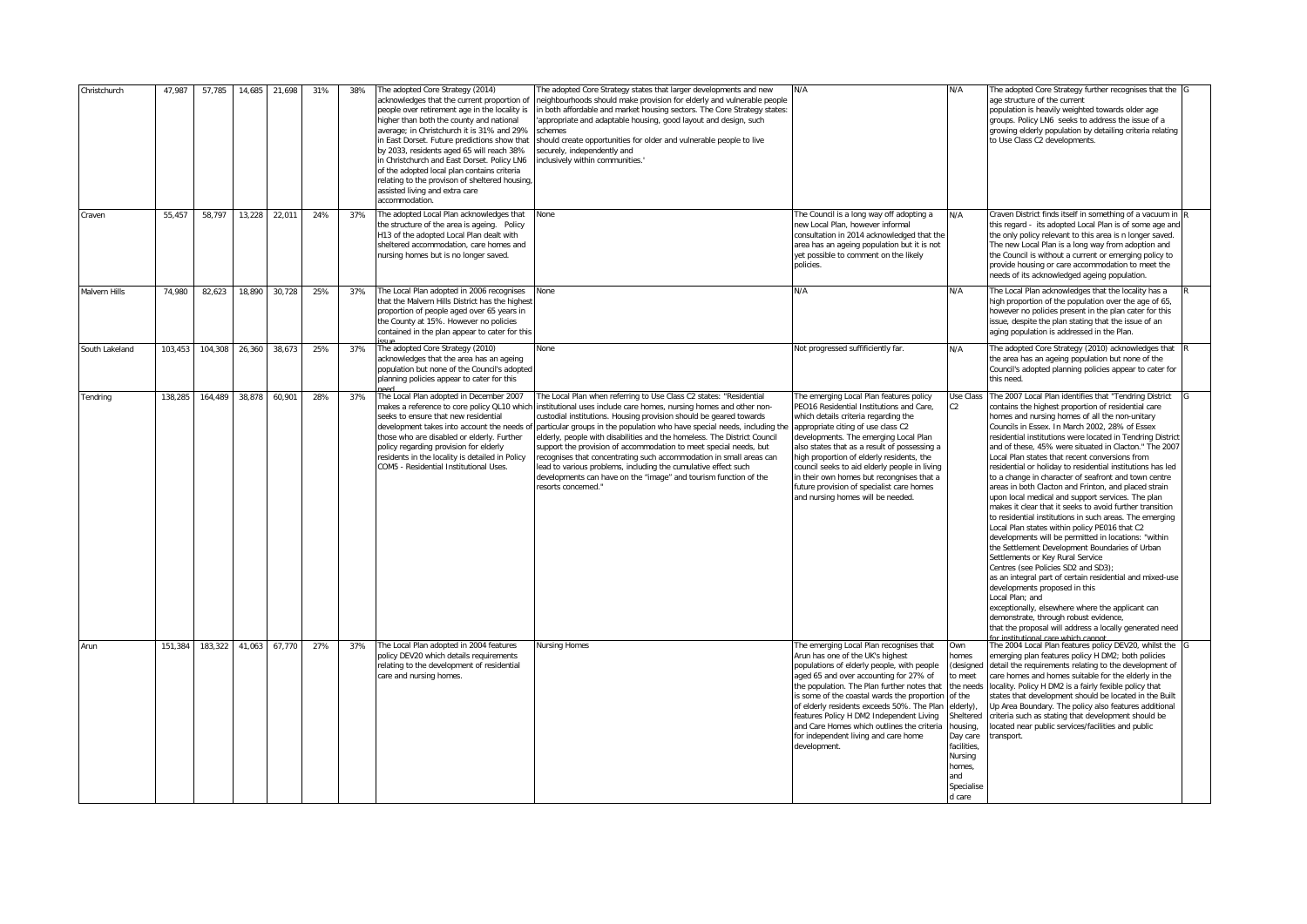| Christchurch   | 47,987  | 57,785  | 14,685 | 21,698 | 31% | 38% | The adopted Core Strategy (2014)<br>acknowledges that the current proportion of<br>people over retirement age in the locality is<br>higher than both the county and national<br>average; in Christchurch it is 31% and 29%<br>in East Dorset. Future predictions show that<br>by 2033, residents aged 65 will reach 38%<br>in Christchurch and East Dorset, Policy LN6<br>of the adopted local plan contains criteria<br>relating to the provison of sheltered housing,<br>assisted living and extra care<br>accommodation. | The adopted Core Strategy states that larger developments and new<br>heighbourhoods should make provision for elderly and vulnerable people<br>n both affordable and market housing sectors. The Core Strategy states:<br>appropriate and adaptable housing, good layout and design, such<br>chemes<br>should create opportunities for older and vulnerable people to live<br>securely, independently and<br>nclusively within communities.'                                                                                                                                                                                                                                   | N/A                                                                                                                                                                                                                                                                                                                                                                                                                                                                                     | N/A                                                                                                                                                                 | The adopted Core Strategy further recognises that the G<br>age structure of the current<br>population is heavily weighted towards older age<br>groups. Policy LN6 seeks to address the issue of a<br>growing elderly population by detailing criteria relating<br>to Use Class C2 developments.                                                                                                                                                                                                                                                                                                                                                                                                                                                                                                                                                                                                                                                                                                                                                                                                                                                                                                                                                                                                           |  |
|----------------|---------|---------|--------|--------|-----|-----|-----------------------------------------------------------------------------------------------------------------------------------------------------------------------------------------------------------------------------------------------------------------------------------------------------------------------------------------------------------------------------------------------------------------------------------------------------------------------------------------------------------------------------|--------------------------------------------------------------------------------------------------------------------------------------------------------------------------------------------------------------------------------------------------------------------------------------------------------------------------------------------------------------------------------------------------------------------------------------------------------------------------------------------------------------------------------------------------------------------------------------------------------------------------------------------------------------------------------|-----------------------------------------------------------------------------------------------------------------------------------------------------------------------------------------------------------------------------------------------------------------------------------------------------------------------------------------------------------------------------------------------------------------------------------------------------------------------------------------|---------------------------------------------------------------------------------------------------------------------------------------------------------------------|-----------------------------------------------------------------------------------------------------------------------------------------------------------------------------------------------------------------------------------------------------------------------------------------------------------------------------------------------------------------------------------------------------------------------------------------------------------------------------------------------------------------------------------------------------------------------------------------------------------------------------------------------------------------------------------------------------------------------------------------------------------------------------------------------------------------------------------------------------------------------------------------------------------------------------------------------------------------------------------------------------------------------------------------------------------------------------------------------------------------------------------------------------------------------------------------------------------------------------------------------------------------------------------------------------------|--|
| Craven         | 55,457  | 58,797  | 13,228 | 22,011 | 24% | 37% | The adopted Local Plan acknowledges that<br>the structure of the area is ageing. Policy<br>113 of the adopted Local Plan dealt with<br>sheltered accommodation, care homes and<br>nursing homes but is no longer saved.                                                                                                                                                                                                                                                                                                     | None                                                                                                                                                                                                                                                                                                                                                                                                                                                                                                                                                                                                                                                                           | The Council is a long way off adopting a<br>new Local Plan, however informal<br>consultation in 2014 acknowledged that the<br>area has an ageing population but it is not<br>yet possible to comment on the likely<br>policies.                                                                                                                                                                                                                                                         | N/A                                                                                                                                                                 | Craven District finds itself in something of a vacuum in<br>this regard - its adopted Local Plan is of some age and<br>the only policy relevant to this area is n longer saved.<br>The new Local Plan is a long way from adoption and<br>the Council is without a current or emerging policy to<br>provide housing or care accommodation to meet the<br>needs of its acknowledged ageing population.                                                                                                                                                                                                                                                                                                                                                                                                                                                                                                                                                                                                                                                                                                                                                                                                                                                                                                      |  |
| Malvern Hills  | 74,980  | 82,623  | 18.890 | 30.728 | 25% | 37% | The Local Plan adopted in 2006 recognises<br>that the Malvern Hills District has the highes<br>proportion of people aged over 65 years in<br>he County at 15%. However no policies<br>contained in the plan appear to cater for this                                                                                                                                                                                                                                                                                        | None                                                                                                                                                                                                                                                                                                                                                                                                                                                                                                                                                                                                                                                                           | N/A                                                                                                                                                                                                                                                                                                                                                                                                                                                                                     | N/A                                                                                                                                                                 | The Local Plan acknowledges that the locality has a<br>high proportion of the population over the age of 65,<br>however no policies present in the plan cater for this<br>issue, despite the plan stating that the issue of an<br>aging population is addressed in the Plan.                                                                                                                                                                                                                                                                                                                                                                                                                                                                                                                                                                                                                                                                                                                                                                                                                                                                                                                                                                                                                              |  |
| South Lakeland | 103,453 | 104,308 | 26,360 | 38,673 | 25% | 37% | The adopted Core Strategy (2010)<br>acknowledges that the area has an ageing<br>population but none of the Council's adopted<br>planning policies appear to cater for this                                                                                                                                                                                                                                                                                                                                                  | None                                                                                                                                                                                                                                                                                                                                                                                                                                                                                                                                                                                                                                                                           | Not progressed suffificiently far.                                                                                                                                                                                                                                                                                                                                                                                                                                                      | N/A                                                                                                                                                                 | The adopted Core Strategy (2010) acknowledges that<br>the area has an ageing population but none of the<br>Council's adopted planning policies appear to cater for<br>this need.                                                                                                                                                                                                                                                                                                                                                                                                                                                                                                                                                                                                                                                                                                                                                                                                                                                                                                                                                                                                                                                                                                                          |  |
| Tendring       | 138.285 | 164.489 | 38.878 | 60.901 | 28% | 37% | The Local Plan adopted in December 2007<br>makes a reference to core policy QL10 which<br>seeks to ensure that new residential<br>development takes into account the needs of<br>those who are disabled or elderly. Further<br>policy regarding provision for elderly<br>residents in the locality is detailed in Policy<br>COM5 - Residential Institutional Uses.                                                                                                                                                          | The Local Plan when referring to Use Class C2 states: "Residential<br>institutional uses include care homes, nursing homes and other non-<br>custodial institutions. Housing provision should be geared towards<br>particular groups in the population who have special needs, including the<br>elderly, people with disabilities and the homeless. The District Council<br>upport the provision of accommodation to meet special needs, but<br>ecognises that concentrating such accommodation in small areas can<br>ead to various problems, including the cumulative effect such<br>developments can have on the "image" and tourism function of the<br>resorts concerned." | The emerging Local Plan features policy<br>PEO16 Residential Institutions and Care.<br>which details criteria regarding the<br>appropriate citing of use class C2<br>developments. The emerging Local Plan<br>also states that as a result of possessing a<br>high proportion of elderly residents, the<br>council seeks to aid elderly people in living<br>in their own homes but recongnises that a<br>future provision of specialist care homes<br>and nursing homes will be needed. | Use Class<br>C <sub>2</sub>                                                                                                                                         | The 2007 Local Plan identifies that "Tendring District<br>contains the highest proportion of residential care<br>homes and nursing homes of all the non-unitary<br>Councils in Essex. In March 2002, 28% of Essex<br>residential institutions were located in Tendring District<br>and of these, 45% were situated in Clacton." The 2007<br>Local Plan states that recent conversions from<br>residential or holiday to residential institutions has led<br>to a change in character of seafront and town centre<br>areas in both Clacton and Frinton, and placed strain<br>upon local medical and support services. The plan<br>makes it clear that it seeks to avoid further transition<br>to residential institutions in such areas. The emerging<br>Local Plan states within policy PE016 that C2<br>developments will be permitted in locations: "within<br>the Settlement Development Boundaries of Urban<br>Settlements or Key Rural Service<br>Centres (see Policies SD2 and SD3);<br>as an integral part of certain residential and mixed-use<br>developments proposed in this<br>Local Plan; and<br>exceptionally, elsewhere where the applicant can<br>demonstrate, through robust evidence,<br>that the proposal will address a locally generated need<br>for institutional care which cannot |  |
| Arun           | 151.384 | 183,322 | 41,063 | 67.770 | 27% | 37% | The Local Plan adopted in 2004 features<br>policy DEV20 which details requirements<br>relating to the development of residential<br>care and nursing homes.                                                                                                                                                                                                                                                                                                                                                                 | Nursing Homes                                                                                                                                                                                                                                                                                                                                                                                                                                                                                                                                                                                                                                                                  | The emerging Local Plan recognises that<br>Arun has one of the UK's highest<br>populations of elderly people, with people<br>aged 65 and over accounting for 27% of<br>the population. The Plan further notes that<br>is some of the coastal wards the proportion<br>of elderly residents exceeds 50%. The Plan<br>features Policy H DM2 Independent Living<br>and Care Homes which outlines the criteria<br>for independent living and care home<br>development.                       | Own<br>homes<br>to meet<br>the needs<br>of the<br>elderly),<br>Sheltered<br>housing,<br>Day care<br>facilities.<br>Nursing<br>homes,<br>and<br>Specialise<br>d care | The 2004 Local Plan features policy DEV20, whilst the<br>emerging plan features policy H DM2; both policies<br>(designed detail the requirements relating to the development of<br>care homes and homes suitable for the elderly in the<br>locality. Policy H DM2 is a fairly fexible policy that<br>states that development should be located in the Built<br>Up Area Boundary. The policy also features additional<br>criteria such as stating that development should be<br>located near public services/facilities and public<br>ransport.                                                                                                                                                                                                                                                                                                                                                                                                                                                                                                                                                                                                                                                                                                                                                            |  |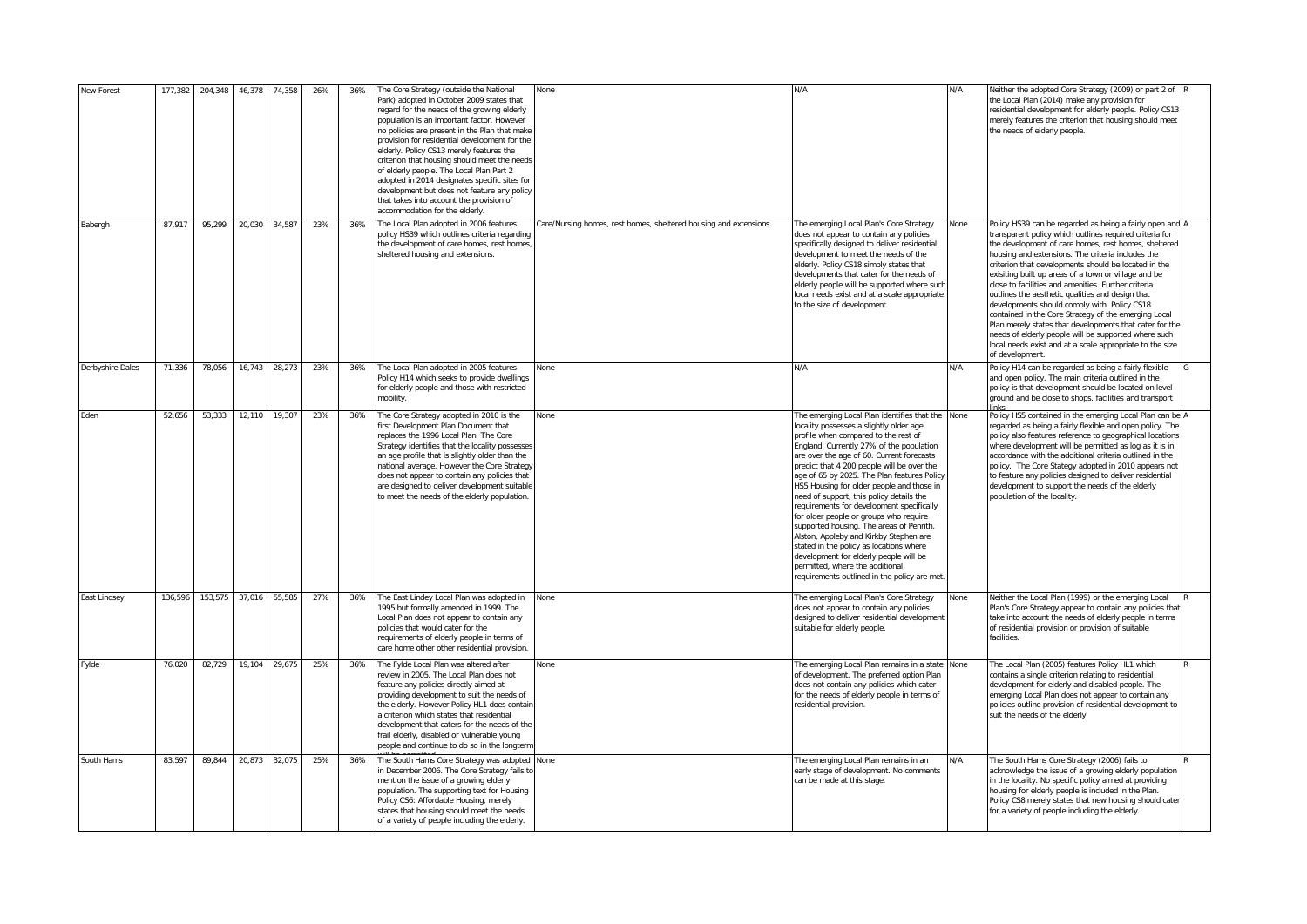| New Forest       | 177,382 | 204,348 | 46,378 | 74,358 | 26% | 36% | The Core Strategy (outside the National<br>Park) adopted in October 2009 states that<br>regard for the needs of the growing elderly<br>population is an important factor. However<br>no policies are present in the Plan that make<br>provision for residential development for the<br>elderly. Policy CS13 merely features the<br>criterion that housing should meet the needs<br>of elderly people. The Local Plan Part 2<br>adopted in 2014 designates specific sites for<br>development but does not feature any policy<br>that takes into account the provision of<br>accommodation for the elderly. | None                                                              | N/A                                                                                                                                                                                                                                                                                                                                                                                                                                                                                                                                                                                                                                                                                                                                                                | N/A  | Neither the adopted Core Strategy (2009) or part 2 of<br>the Local Plan (2014) make any provision for<br>residential development for elderly people. Policy CS13<br>merely features the criterion that housing should meet<br>the needs of elderly people.                                                                                                                                                                                                                                                                                                                                                                                                                                                                                                          |  |
|------------------|---------|---------|--------|--------|-----|-----|-----------------------------------------------------------------------------------------------------------------------------------------------------------------------------------------------------------------------------------------------------------------------------------------------------------------------------------------------------------------------------------------------------------------------------------------------------------------------------------------------------------------------------------------------------------------------------------------------------------|-------------------------------------------------------------------|--------------------------------------------------------------------------------------------------------------------------------------------------------------------------------------------------------------------------------------------------------------------------------------------------------------------------------------------------------------------------------------------------------------------------------------------------------------------------------------------------------------------------------------------------------------------------------------------------------------------------------------------------------------------------------------------------------------------------------------------------------------------|------|---------------------------------------------------------------------------------------------------------------------------------------------------------------------------------------------------------------------------------------------------------------------------------------------------------------------------------------------------------------------------------------------------------------------------------------------------------------------------------------------------------------------------------------------------------------------------------------------------------------------------------------------------------------------------------------------------------------------------------------------------------------------|--|
| Babergh          | 87,917  | 95,299  | 20,030 | 34.587 | 23% | 36% | The Local Plan adopted in 2006 features<br>policy HS39 which outlines criteria regarding<br>the development of care homes, rest homes<br>sheltered housing and extensions.                                                                                                                                                                                                                                                                                                                                                                                                                                | Care/Nursing homes, rest homes, sheltered housing and extensions. | The emerging Local Plan's Core Strategy<br>does not appear to contain any policies<br>specifically designed to deliver residential<br>development to meet the needs of the<br>elderly. Policy CS18 simply states that<br>developments that cater for the needs of<br>elderly people will be supported where such<br>local needs exist and at a scale appropriate<br>to the size of development.                                                                                                                                                                                                                                                                                                                                                                    | None | Policy HS39 can be regarded as being a fairly open and<br>transparent policy which outlines required criteria for<br>the development of care homes, rest homes, sheltered<br>housing and extensions. The criteria includes the<br>criterion that developments should be located in the<br>exisiting built up areas of a town or viilage and be<br>close to facilities and amenities. Further criteria<br>outlines the aesthetic qualities and design that<br>developments should comply with. Policy CS18<br>contained in the Core Strategy of the emerging Local<br>Plan merely states that developments that cater for the<br>needs of elderly people will be supported where such<br>local needs exist and at a scale appropriate to the size<br>of development. |  |
| Derbyshire Dales | 71,336  | 78,056  | 16,743 | 28,273 | 23% | 36% | The Local Plan adopted in 2005 features<br>Policy H14 which seeks to provide dwellings<br>for elderly people and those with restricted<br>mobility.                                                                                                                                                                                                                                                                                                                                                                                                                                                       | None                                                              | N/A                                                                                                                                                                                                                                                                                                                                                                                                                                                                                                                                                                                                                                                                                                                                                                | N/A  | Policy H14 can be regarded as being a fairly flexible<br>and open policy. The main criteria outlined in the<br>policy is that development should be located on level<br>ground and be close to shops, facilities and transport                                                                                                                                                                                                                                                                                                                                                                                                                                                                                                                                      |  |
| Eden             | 52,656  | 53,333  | 12,110 | 19,307 | 23% | 36% | The Core Strategy adopted in 2010 is the<br>first Development Plan Document that<br>replaces the 1996 Local Plan. The Core<br>Strategy identifies that the locality possesses<br>an age profile that is slightly older than the<br>national average. However the Core Strategy<br>does not appear to contain any policies that<br>are designed to deliver development suitable<br>to meet the needs of the elderly population.                                                                                                                                                                            | None                                                              | The emerging Local Plan identifies that the<br>locality possesses a slightly older age<br>profile when compared to the rest of<br>England. Currently 27% of the population<br>are over the age of 60. Current forecasts<br>predict that 4 200 people will be over the<br>age of 65 by 2025. The Plan features Policy<br>HS5 Housing for older people and those in<br>need of support, this policy details the<br>requirements for development specifically<br>for older people or groups who require<br>supported housing. The areas of Penrith,<br>Alston, Appleby and Kirkby Stephen are<br>stated in the policy as locations where<br>development for elderly people will be<br>permitted, where the additional<br>requirements outlined in the policy are met. | None | Policy HS5 contained in the emerging Local Plan can be<br>regarded as being a fairly flexible and open policy. The<br>policy also features reference to geographical locations<br>where development will be permitted as log as it is in<br>accordance with the additional criteria outlined in the<br>policy. The Core Stategy adopted in 2010 appears not<br>to feature any policies designed to deliver residential<br>development to support the needs of the elderly<br>population of the locality.                                                                                                                                                                                                                                                            |  |
| East Lindsey     | 136,596 | 153,575 | 37,016 | 55,585 | 27% | 36% | The East Lindey Local Plan was adopted in<br>1995 but formally amended in 1999. The<br>Local Plan does not appear to contain any<br>policies that would cater for the<br>requirements of elderly people in terms of<br>care home other other residential provision.                                                                                                                                                                                                                                                                                                                                       | None                                                              | The emerging Local Plan's Core Strategy<br>does not appear to contain any policies<br>designed to deliver residential development<br>suitable for elderly people.                                                                                                                                                                                                                                                                                                                                                                                                                                                                                                                                                                                                  | None | Neither the Local Plan (1999) or the emerging Local<br>Plan's Core Strategy appear to contain any policies that<br>take into account the needs of elderly people in terms<br>of residential provision or provision of suitable<br>facilities.                                                                                                                                                                                                                                                                                                                                                                                                                                                                                                                       |  |
| Fylde            | 76,020  | 82,729  | 19,104 | 29,675 | 25% | 36% | The Fylde Local Plan was altered after<br>review in 2005. The Local Plan does not<br>feature any policies directly aimed at<br>providing development to suit the needs of<br>the elderly. However Policy HL1 does contair<br>a criterion which states that residential<br>development that caters for the needs of the<br>frail elderly, disabled or vulnerable young<br>people and continue to do so in the longtern                                                                                                                                                                                     | None                                                              | The emerging Local Plan remains in a state<br>of development. The preferred option Plan<br>does not contain any policies which cater<br>for the needs of elderly people in terms of<br>residential provision.                                                                                                                                                                                                                                                                                                                                                                                                                                                                                                                                                      | None | The Local Plan (2005) features Policy HL1 which<br>contains a single criterion relating to residential<br>development for elderly and disabled people. The<br>emerging Local Plan does not appear to contain any<br>policies outline provision of residential development to<br>suit the needs of the elderly.                                                                                                                                                                                                                                                                                                                                                                                                                                                      |  |
| South Hams       | 83,597  | 89,844  | 20,873 | 32,075 | 25% | 36% | The South Hams Core Strategy was adopted None<br>in December 2006. The Core Strategy fails to<br>mention the issue of a growing elderly<br>population. The supporting text for Housing<br>Policy CS6: Affordable Housing, merely<br>states that housing should meet the needs<br>of a variety of people including the elderly.                                                                                                                                                                                                                                                                            |                                                                   | The emerging Local Plan remains in an<br>early stage of development. No comments<br>can be made at this stage.                                                                                                                                                                                                                                                                                                                                                                                                                                                                                                                                                                                                                                                     | N/A  | The South Hams Core Strategy (2006) fails to<br>acknowledge the issue of a growing elderly population<br>in the locality. No specific policy aimed at providing<br>housing for elderly people is included in the Plan.<br>Policy CS8 merely states that new housing should cater<br>for a variety of people including the elderly.                                                                                                                                                                                                                                                                                                                                                                                                                                  |  |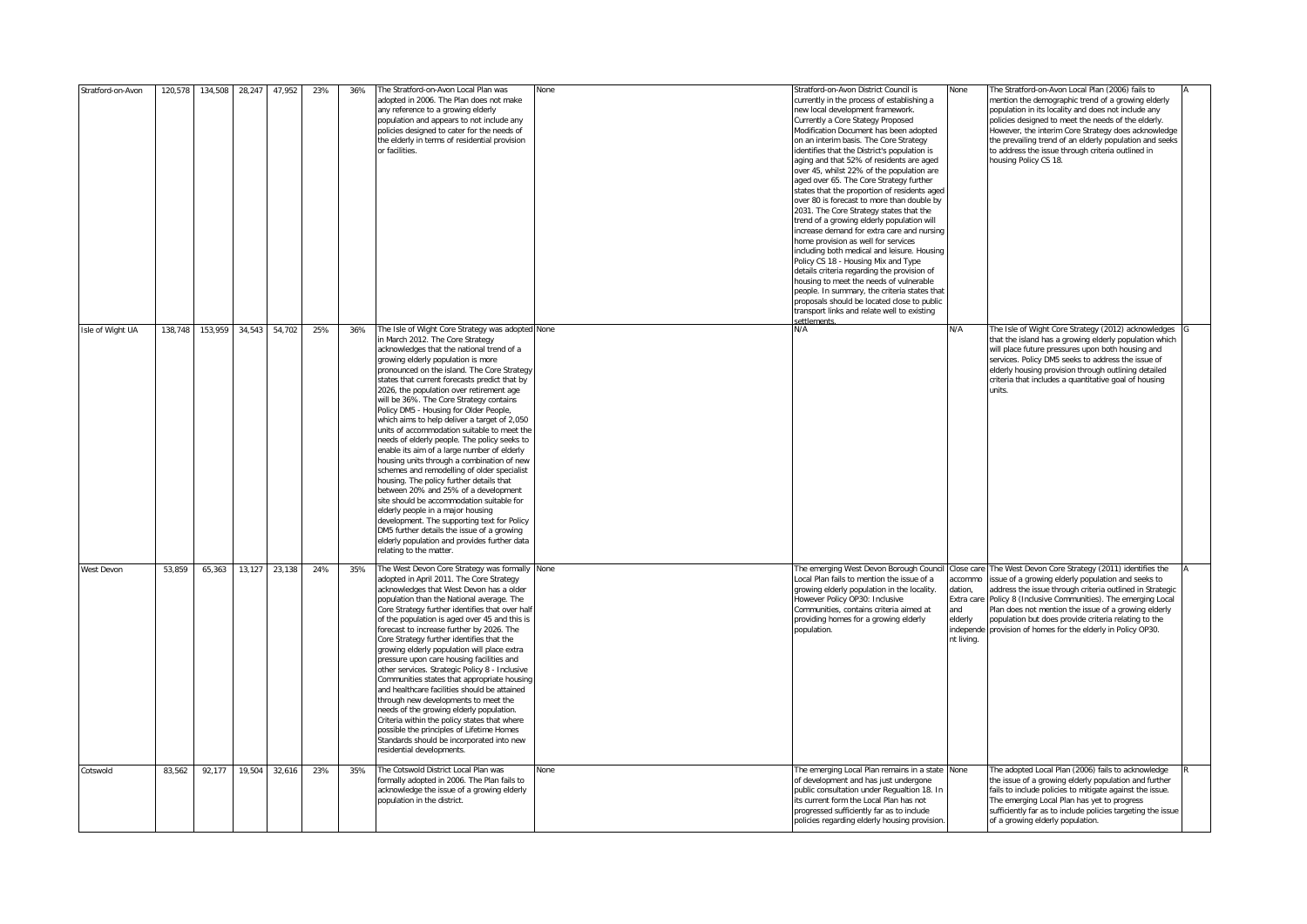| Stratford-on-Avon | 120,578 | 134,508 | 28,247 | 47,952 | 23% | 36% | The Stratford-on-Avon Local Plan was<br>adopted in 2006. The Plan does not make<br>any reference to a growing elderly<br>population and appears to not include any<br>policies designed to cater for the needs of<br>the elderly in terms of residential provision<br>or facilities.                                                                                                                                                                                                                                                                                                                                                                                                                                                                                                                                                                                                                                                                                                                                                              | None | Stratford-on-Avon District Council is<br>currently in the process of establishing a<br>new local development framework.<br>Currently a Core Stategy Proposed<br>Modification Document has been adopted<br>on an interim basis. The Core Strategy<br>identifies that the District's population is<br>aging and that 52% of residents are aged<br>over 45, whilst 22% of the population are<br>aged over 65. The Core Strategy further<br>states that the proportion of residents aged<br>over 80 is forecast to more than double by<br>2031. The Core Strategy states that the<br>trend of a growing elderly population will<br>increase demand for extra care and nursing<br>home provision as well for services<br>including both medical and leisure. Housing<br>Policy CS 18 - Housing Mix and Type<br>details criteria regarding the provision of<br>housing to meet the needs of vulnerable<br>people. In summary, the criteria states that<br>proposals should be located close to public<br>transport links and relate well to existing | None                                                                           | The Stratford-on-Avon Local Plan (2006) fails to<br>mention the demographic trend of a growing elderly<br>population in its locality and does not include any<br>policies designed to meet the needs of the elderly.<br>However, the interim Core Strategy does acknowledge<br>the prevailing trend of an elderly population and seeks<br>to address the issue through criteria outlined in<br>housing Policy CS 18. |  |
|-------------------|---------|---------|--------|--------|-----|-----|---------------------------------------------------------------------------------------------------------------------------------------------------------------------------------------------------------------------------------------------------------------------------------------------------------------------------------------------------------------------------------------------------------------------------------------------------------------------------------------------------------------------------------------------------------------------------------------------------------------------------------------------------------------------------------------------------------------------------------------------------------------------------------------------------------------------------------------------------------------------------------------------------------------------------------------------------------------------------------------------------------------------------------------------------|------|------------------------------------------------------------------------------------------------------------------------------------------------------------------------------------------------------------------------------------------------------------------------------------------------------------------------------------------------------------------------------------------------------------------------------------------------------------------------------------------------------------------------------------------------------------------------------------------------------------------------------------------------------------------------------------------------------------------------------------------------------------------------------------------------------------------------------------------------------------------------------------------------------------------------------------------------------------------------------------------------------------------------------------------------|--------------------------------------------------------------------------------|----------------------------------------------------------------------------------------------------------------------------------------------------------------------------------------------------------------------------------------------------------------------------------------------------------------------------------------------------------------------------------------------------------------------|--|
| Isle of Wight UA  | 138,748 | 153,959 | 34,543 | 54,702 | 25% | 36% | The Isle of Wight Core Strategy was adopted None<br>in March 2012. The Core Strategy<br>acknowledges that the national trend of a<br>growing elderly population is more<br>pronounced on the island. The Core Strategy<br>states that current forecasts predict that by<br>2026, the population over retirement age<br>will be 36%. The Core Strategy contains<br>Policy DM5 - Housing for Older People,<br>which aims to help deliver a target of 2,050<br>units of accommodation suitable to meet the<br>needs of elderly people. The policy seeks to<br>enable its aim of a large number of elderly<br>housing units through a combination of new<br>schemes and remodelling of older specialist<br>housing. The policy further details that<br>between 20% and 25% of a development<br>site should be accommodation suitable for<br>elderly people in a major housing<br>development. The supporting text for Policy<br>DM5 further details the issue of a growing<br>elderly population and provides further data<br>relating to the matter. |      | N/A                                                                                                                                                                                                                                                                                                                                                                                                                                                                                                                                                                                                                                                                                                                                                                                                                                                                                                                                                                                                                                            | N/A                                                                            | The Isle of Wight Core Strategy (2012) acknowledges<br>that the island has a growing elderly population which<br>will place future pressures upon both housing and<br>services. Policy DM5 seeks to address the issue of<br>elderly housing provision through outlining detailed<br>criteria that includes a quantitative goal of housing<br>units.                                                                  |  |
| West Devon        | 53,859  | 65,363  | 13,127 | 23,138 | 24% | 35% | The West Devon Core Strategy was formally None<br>adopted in April 2011. The Core Strategy<br>acknowledges that West Devon has a older<br>population than the National average. The<br>Core Strategy further identifies that over half<br>of the population is aged over 45 and this is<br>forecast to increase further by 2026. The<br>Core Strategy further identifies that the<br>growing elderly population will place extra<br>pressure upon care housing facilities and<br>other services. Strategic Policy 8 - Inclusive<br>Communities states that appropriate housing<br>and healthcare facilities should be attained<br>through new developments to meet the<br>needs of the growing elderly population.<br>Criteria within the policy states that where<br>possible the principles of Lifetime Homes<br>Standards should be incorporated into new<br>residential developments.                                                                                                                                                         |      | The emerging West Devon Borough Counci<br>Local Plan fails to mention the issue of a<br>growing elderly population in the locality.<br>However Policy OP30: Inclusive<br>Communities, contains criteria aimed at<br>providing homes for a growing elderly<br>population.                                                                                                                                                                                                                                                                                                                                                                                                                                                                                                                                                                                                                                                                                                                                                                       | Close care<br>accommo<br>dation,<br>Extra care<br>and<br>elderly<br>nt living. | The West Devon Core Strategy (2011) identifies the<br>issue of a growing elderly population and seeks to<br>address the issue through criteria outlined in Strategic<br>Policy 8 (Inclusive Communities). The emerging Local<br>Plan does not mention the issue of a growing elderly<br>population but does provide criteria relating to the<br>independe provision of homes for the elderly in Policy OP30.         |  |
| Cotswold          | 83,562  | 92,177  | 19,504 | 32,616 | 23% | 35% | The Cotswold District Local Plan was<br>formally adopted in 2006. The Plan fails to<br>acknowledge the issue of a growing elderly<br>opulation in the district.                                                                                                                                                                                                                                                                                                                                                                                                                                                                                                                                                                                                                                                                                                                                                                                                                                                                                   | None | The emerging Local Plan remains in a state None<br>of development and has just undergone<br>public consultation under Regualtion 18. In<br>its current form the Local Plan has not<br>progressed sufficiently far as to include<br>policies regarding elderly housing provision.                                                                                                                                                                                                                                                                                                                                                                                                                                                                                                                                                                                                                                                                                                                                                               |                                                                                | The adopted Local Plan (2006) fails to acknowledge<br>the issue of a growing elderly population and further<br>fails to include policies to mitigate against the issue.<br>The emerging Local Plan has yet to progress<br>sufficiently far as to include policies targeting the issue<br>of a growing elderly population.                                                                                            |  |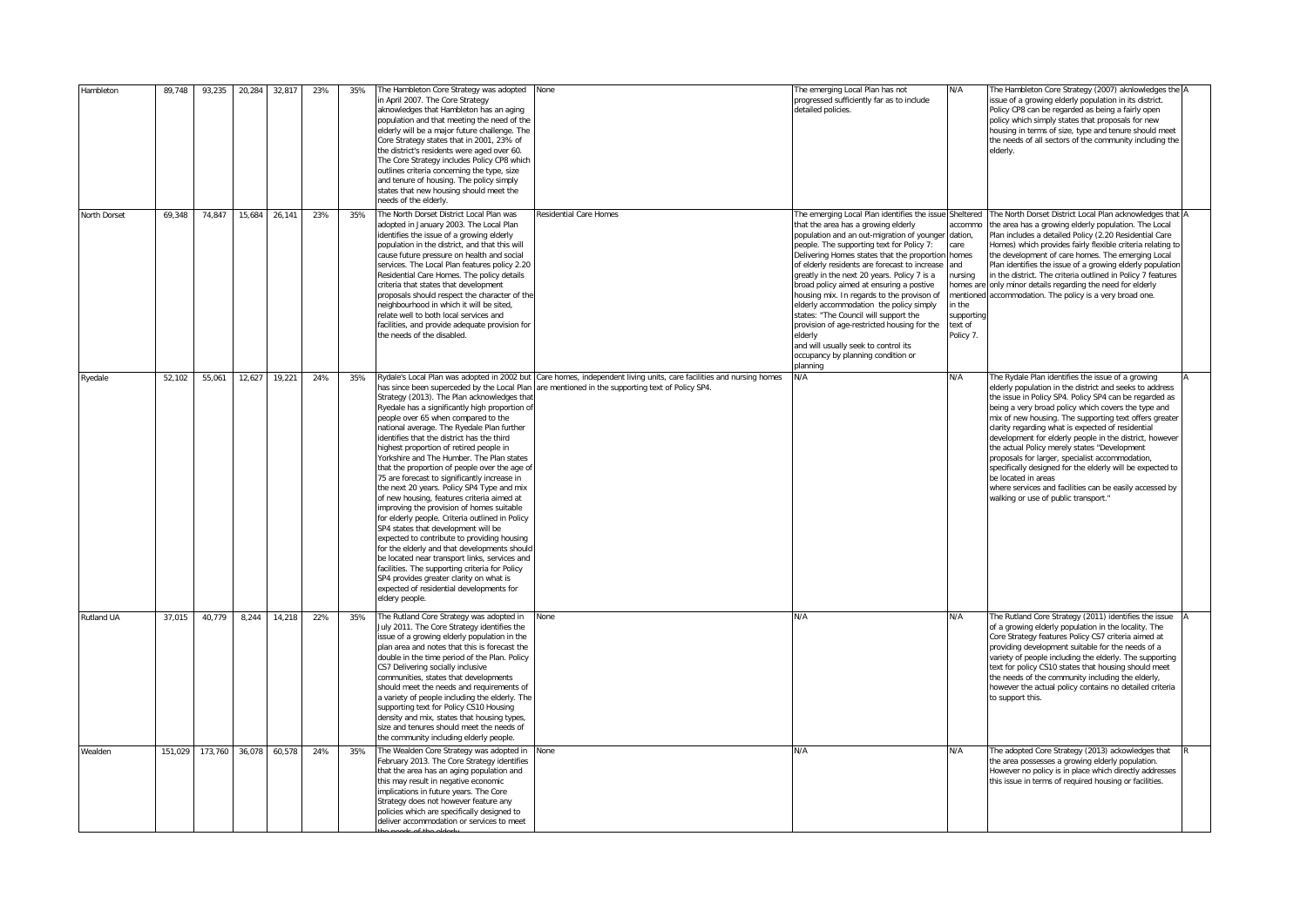| Hambleton         | 89,748  | 93,235  | 20,284 | 32,817        | 23% | 35% | The Hambleton Core Strategy was adopted<br>in April 2007. The Core Strategy<br>aknowledges that Hambleton has an aging<br>population and that meeting the need of the<br>elderly will be a major future challenge. The<br>Core Strategy states that in 2001, 23% of<br>the district's residents were aged over 60.<br>The Core Strategy includes Policy CP8 which<br>outlines criteria concerning the type, size<br>and tenure of housing. The policy simply<br>states that new housing should meet the<br>needs of the elderly.                                                                                                                                                                                                                                                                                                                                                                                                                                                                                      | None                                                                                                                                                                       | The emerging Local Plan has not<br>progressed sufficiently far as to include<br>detailed policies.                                                                                                                                                                                                                                                                                                                                                                                                                                                                                                                                                                        | N/A                                                                                                   | The Hambleton Core Strategy (2007) aknlowledges the A<br>issue of a growing elderly population in its district.<br>Policy CP8 can be regarded as being a fairly open<br>policy which simply states that proposals for new<br>housing in terms of size, type and tenure should meet<br>the needs of all sectors of the community including the<br>elderly.                                                                                                                                                                                                                                                                                                                                         |  |
|-------------------|---------|---------|--------|---------------|-----|-----|-----------------------------------------------------------------------------------------------------------------------------------------------------------------------------------------------------------------------------------------------------------------------------------------------------------------------------------------------------------------------------------------------------------------------------------------------------------------------------------------------------------------------------------------------------------------------------------------------------------------------------------------------------------------------------------------------------------------------------------------------------------------------------------------------------------------------------------------------------------------------------------------------------------------------------------------------------------------------------------------------------------------------|----------------------------------------------------------------------------------------------------------------------------------------------------------------------------|---------------------------------------------------------------------------------------------------------------------------------------------------------------------------------------------------------------------------------------------------------------------------------------------------------------------------------------------------------------------------------------------------------------------------------------------------------------------------------------------------------------------------------------------------------------------------------------------------------------------------------------------------------------------------|-------------------------------------------------------------------------------------------------------|---------------------------------------------------------------------------------------------------------------------------------------------------------------------------------------------------------------------------------------------------------------------------------------------------------------------------------------------------------------------------------------------------------------------------------------------------------------------------------------------------------------------------------------------------------------------------------------------------------------------------------------------------------------------------------------------------|--|
| North Dorset      | 69,348  | 74,847  |        | 15,684 26,141 | 23% | 35% | The North Dorset District Local Plan was<br>adopted in January 2003. The Local Plan<br>identifies the issue of a growing elderly<br>population in the district, and that this will<br>cause future pressure on health and social<br>services. The Local Plan features policy 2.20<br>Residential Care Homes. The policy details<br>criteria that states that development<br>proposals should respect the character of the<br>neighbourhood in which it will be sited,<br>relate well to both local services and<br>facilities, and provide adequate provision for<br>the needs of the disabled.                                                                                                                                                                                                                                                                                                                                                                                                                       | Residential Care Homes                                                                                                                                                     | The emerging Local Plan identifies the issue Sheltered<br>that the area has a growing elderly<br>population and an out-migration of younger<br>people. The supporting text for Policy 7:<br>Delivering Homes states that the proportion<br>of elderly residents are forecast to increase<br>greatly in the next 20 years. Policy 7 is a<br>broad policy aimed at ensuring a postive<br>housing mix. In regards to the provison of<br>elderly accommodation the policy simply<br>states: "The Council will support the<br>provision of age-restricted housing for the<br>elderly<br>and will usually seek to control its<br>occupancy by planning condition or<br>planning | accommo<br>dation.<br>care<br>homes<br>and<br>nursing<br>in the<br>supporting<br>text of<br>Policy 7. | The North Dorset District Local Plan acknowledges that A<br>the area has a growing elderly population. The Local<br>Plan includes a detailed Policy (2.20 Residential Care<br>Homes) which provides fairly flexible criteria relating to<br>the development of care homes. The emerging Local<br>Plan identifies the issue of a growing elderly population<br>in the district. The criteria outlined in Policy 7 features<br>homes are only minor details regarding the need for elderly<br>mentioned accommodation. The policy is a very broad one.                                                                                                                                              |  |
| Ryedale           | 52,102  | 55,061  |        | 12,627 19,221 | 24% | 35% | has since been superceded by the Local Plan<br>Strategy (2013). The Plan acknowledges tha<br>Ryedale has a significantly high proportion of<br>people over 65 when compared to the<br>national average. The Ryedale Plan further<br>identifies that the district has the third<br>highest proportion of retired people in<br>Yorkshire and The Humber. The Plan states<br>that the proportion of people over the age of<br>75 are forecast to significantly increase in<br>the next 20 years. Policy SP4 Type and mix<br>of new housing, features criteria aimed at<br>improving the provision of homes suitable<br>for elderly people. Criteria outlined in Policy<br>SP4 states that development will be<br>expected to contribute to providing housing<br>for the elderly and that developments should<br>be located near transport links, services and<br>facilities. The supporting criteria for Policy<br>SP4 provides greater clarity on what is<br>expected of residential developments for<br>eldery people. | Rydale's Local Plan was adopted in 2002 but Care homes, independent living units, care facilities and nursing homes<br>are mentioned in the supporting text of Policy SP4. | N/A                                                                                                                                                                                                                                                                                                                                                                                                                                                                                                                                                                                                                                                                       | N/A                                                                                                   | The Rydale Plan identifies the issue of a growing<br>elderly population in the district and seeks to address<br>the issue in Policy SP4. Policy SP4 can be regarded as<br>being a very broad policy which covers the type and<br>mix of new housing. The supporting text offers greater<br>clarity regarding what is expected of residential<br>development for elderly people in the district, however<br>the actual Policy merely states "Development<br>proposals for larger, specialist accommodation,<br>specifically designed for the elderly will be expected to<br>be located in areas<br>where services and facilities can be easily accessed by<br>walking or use of public transport." |  |
| <b>Rutland UA</b> | 37,015  | 40,779  | 8,244  | 14,218        | 22% | 35% | The Rutland Core Strategy was adopted in<br>July 2011. The Core Strategy identifies the<br>issue of a growing elderly population in the<br>plan area and notes that this is forecast the<br>double in the time period of the Plan. Policy<br>CS7 Delivering socially inclusive<br>communities, states that developments<br>should meet the needs and requirements of<br>a variety of people including the elderly. The<br>supporting text for Policy CS10 Housing<br>density and mix, states that housing types,<br>size and tenures should meet the needs of<br>the community including elderly people.                                                                                                                                                                                                                                                                                                                                                                                                              | None                                                                                                                                                                       | N/A                                                                                                                                                                                                                                                                                                                                                                                                                                                                                                                                                                                                                                                                       | N/A                                                                                                   | The Rutland Core Strategy (2011) identifies the issue<br>of a growing elderly population in the locality. The<br>Core Strategy features Policy CS7 criteria aimed at<br>providing development suitable for the needs of a<br>variety of people including the elderly. The supporting<br>text for policy CS10 states that housing should meet<br>the needs of the community including the elderly,<br>however the actual policy contains no detailed criteria<br>to support this.                                                                                                                                                                                                                  |  |
| Wealden           | 151,029 | 173,760 | 36,078 | 60,578        | 24% | 35% | The Wealden Core Strategy was adopted in<br>February 2013. The Core Strategy identifies<br>that the area has an aging population and<br>this may result in negative economic<br>implications in future years. The Core<br>Strategy does not however feature any<br>policies which are specifically designed to<br>deliver accommodation or services to meet                                                                                                                                                                                                                                                                                                                                                                                                                                                                                                                                                                                                                                                           | None                                                                                                                                                                       | N/A                                                                                                                                                                                                                                                                                                                                                                                                                                                                                                                                                                                                                                                                       | N/A                                                                                                   | The adopted Core Strategy (2013) ackowledges that<br>the area possesses a growing elderly population.<br>However no policy is in place which directly addresses<br>this issue in terms of required housing or facilities.                                                                                                                                                                                                                                                                                                                                                                                                                                                                         |  |